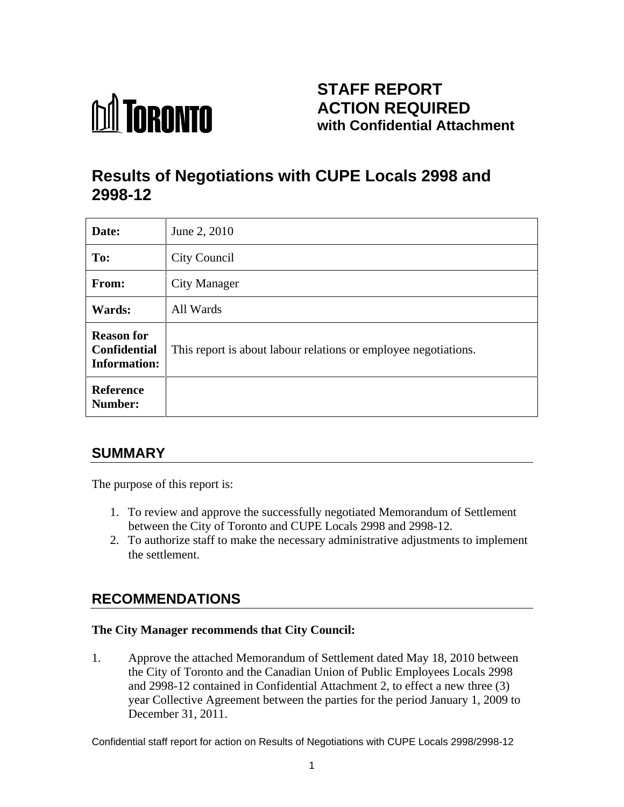

## **STAFF REPORT ACTION REQUIRED with Confidential Attachment**

# **Results of Negotiations with CUPE Locals 2998 and 2998-12**

| Date:                                                    | June 2, 2010                                                    |
|----------------------------------------------------------|-----------------------------------------------------------------|
| To:                                                      | <b>City Council</b>                                             |
| From:                                                    | <b>City Manager</b>                                             |
| Wards:                                                   | All Wards                                                       |
| <b>Reason for</b><br>Confidential<br><b>Information:</b> | This report is about labour relations or employee negotiations. |
| Reference<br>Number:                                     |                                                                 |

## **SUMMARY**

The purpose of this report is:

- 1. To review and approve the successfully negotiated Memorandum of Settlement between the City of Toronto and CUPE Locals 2998 and 2998-12.
- 2. To authorize staff to make the necessary administrative adjustments to implement the settlement.

## **RECOMMENDATIONS**

#### **The City Manager recommends that City Council:**

1. Approve the attached Memorandum of Settlement dated May 18, 2010 between the City of Toronto and the Canadian Union of Public Employees Locals 2998 and 2998-12 contained in Confidential Attachment 2, to effect a new three (3) year Collective Agreement between the parties for the period January 1, 2009 to December 31, 2011.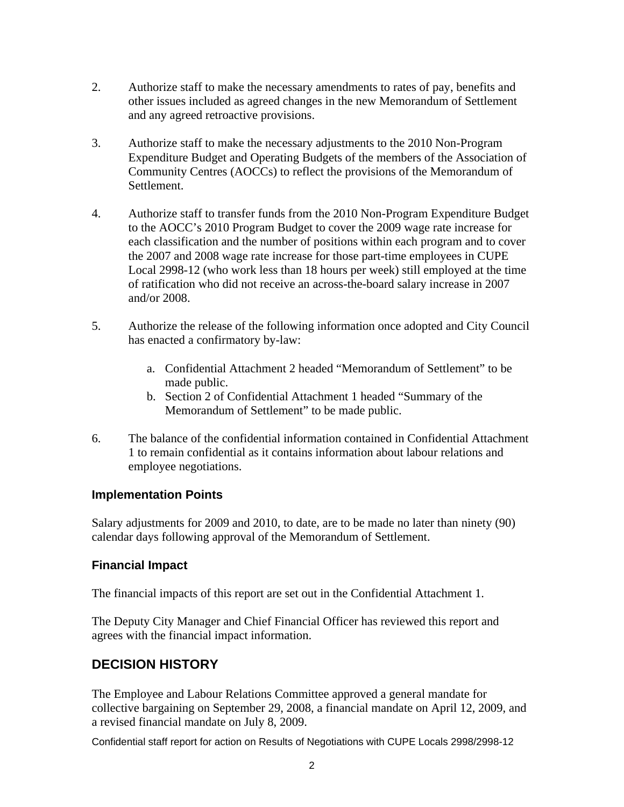- 2. Authorize staff to make the necessary amendments to rates of pay, benefits and other issues included as agreed changes in the new Memorandum of Settlement and any agreed retroactive provisions.
- 3. Authorize staff to make the necessary adjustments to the 2010 Non-Program Expenditure Budget and Operating Budgets of the members of the Association of Community Centres (AOCCs) to reflect the provisions of the Memorandum of Settlement.
- 4. Authorize staff to transfer funds from the 2010 Non-Program Expenditure Budget to the AOCC's 2010 Program Budget to cover the 2009 wage rate increase for each classification and the number of positions within each program and to cover the 2007 and 2008 wage rate increase for those part-time employees in CUPE Local 2998-12 (who work less than 18 hours per week) still employed at the time of ratification who did not receive an across-the-board salary increase in 2007 and/or 2008.
- 5. Authorize the release of the following information once adopted and City Council has enacted a confirmatory by-law:
	- a. Confidential Attachment 2 headed "Memorandum of Settlement" to be made public.
	- b. Section 2 of Confidential Attachment 1 headed "Summary of the Memorandum of Settlement" to be made public.
- 6. The balance of the confidential information contained in Confidential Attachment 1 to remain confidential as it contains information about labour relations and employee negotiations.

#### **Implementation Points**

Salary adjustments for 2009 and 2010, to date, are to be made no later than ninety (90) calendar days following approval of the Memorandum of Settlement.

#### **Financial Impact**

The financial impacts of this report are set out in the Confidential Attachment 1.

The Deputy City Manager and Chief Financial Officer has reviewed this report and agrees with the financial impact information.

### **DECISION HISTORY**

The Employee and Labour Relations Committee approved a general mandate for collective bargaining on September 29, 2008, a financial mandate on April 12, 2009, and a revised financial mandate on July 8, 2009.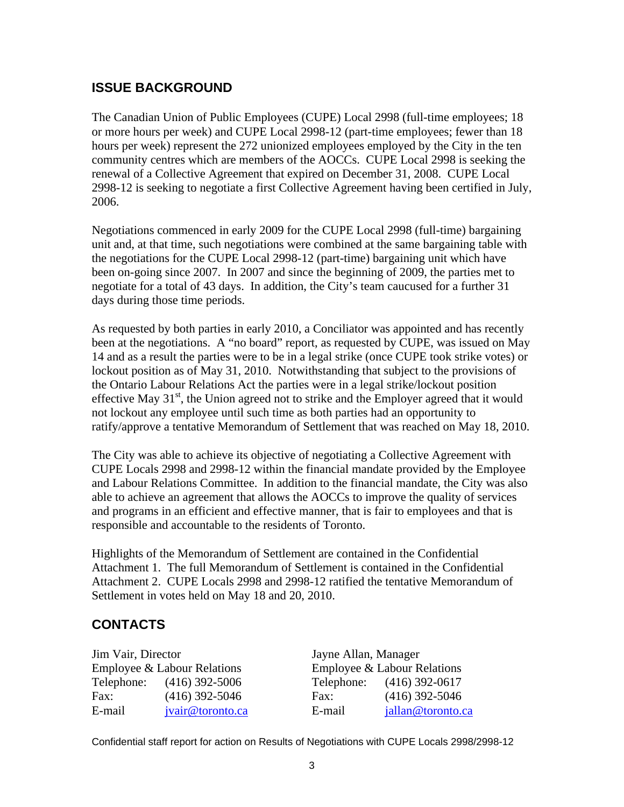### **ISSUE BACKGROUND**

The Canadian Union of Public Employees (CUPE) Local 2998 (full-time employees; 18 or more hours per week) and CUPE Local 2998-12 (part-time employees; fewer than 18 hours per week) represent the 272 unionized employees employed by the City in the ten community centres which are members of the AOCCs. CUPE Local 2998 is seeking the renewal of a Collective Agreement that expired on December 31, 2008. CUPE Local 2998-12 is seeking to negotiate a first Collective Agreement having been certified in July,

2006.<br>Negotiations commenced in early 2009 for the CUPE Local 2998 (full-time) bargaining unit and, at that time, such negotiations were combined at the same bargaining table with the negotiations for the CUPE Local 2998-12 (part-time) bargaining unit which have been on-going since 2007. In 2007 and since the beginning of 2009, the parties met to negotiate for a total of 43 days. In addition, the City's team caucused for a further 31 days during those time periods.

As requested by both parties in early 2010, a Conciliator was appointed and has recently been at the negotiations. A "no board" report, as requested by CUPE, was issued on May 14 and as a result the parties were to be in a legal strike (once CUPE took strike votes) or lockout position as of May 31, 2010. Notwithstanding that subject to the provisions of the Ontario Labour Relations Act the parties were in a legal strike/lockout position effective May  $31<sup>st</sup>$ , the Union agreed not to strike and the Employer agreed that it would not lockout any employee until such time as both parties had an opportunity to ratify/approve <sup>a</sup> tentative Memorandum of Settlement that was reached on May 18, 2010. The City was able to achieve its objective of negotiating a Collective Agreement with

CUPE Locals 2998 and 2998-12 within the financial mandate provided by the Employee and Labour Relations Committee. In addition to the financial mandate, the City was also able to achieve an agreement that allows the AOCCs to improve the quality of services and programs in an efficient and effective manner, that is fair to employees and that is responsible and accountable to the residents of Toronto.

Highlights of the Memorandum of Settlement are contained in the Confidential Attachment 1. The full Memorandum of Settlement is contained in the Confidential Attachment 2. CUPE Locals 2998 and 2998-12 ratified the tentative Memorandum of Settlement in votes held on May 18 and 20, 2010.

## **CONTACTS**

| Jim Vair, Director |                             |            | Jayne Allan, Manager        |  |
|--------------------|-----------------------------|------------|-----------------------------|--|
|                    | Employee & Labour Relations |            | Employee & Labour Relations |  |
| Telephone:         | $(416)$ 392-5006            | Telephone: | $(416)$ 392-0617            |  |
| Fax:               | $(416)$ 392-5046            | Fax:       | $(416)$ 392-5046            |  |
| E-mail             | vair@toronto.ca             | E-mail     | <u>an@toronto.ca</u>        |  |